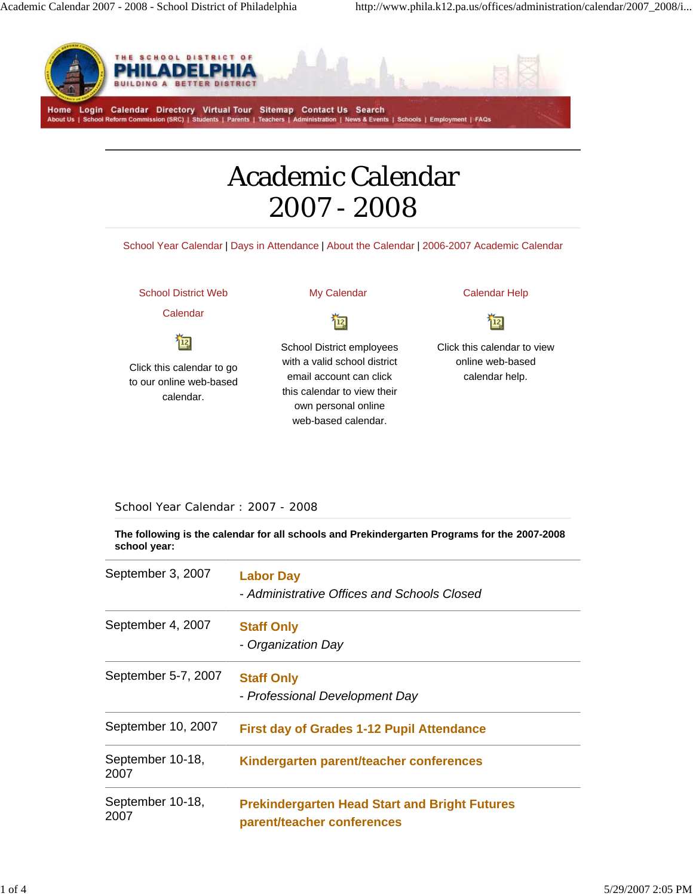

## Academic Calendar 2007 - 2008

School Year Calendar | Days in Attendance | About the Calendar | 2006-2007 Academic Calendar

School District Web

Calendar

恼

Click this calendar to go to our online web-based calendar.

My Calendar

匈

School District employees with a valid school district email account can click this calendar to view their own personal online web-based calendar.

Calendar Help 恼

Click this calendar to view online web-based calendar help.

## School Year Calendar : 2007 - 2008

**The following is the calendar for all schools and Prekindergarten Programs for the 2007-2008 school year:** 

| September 3, 2007        | <b>Labor Day</b><br>- Administrative Offices and Schools Closed                    |
|--------------------------|------------------------------------------------------------------------------------|
| September 4, 2007        | <b>Staff Only</b><br>- Organization Day                                            |
| September 5-7, 2007      | <b>Staff Only</b><br>- Professional Development Day                                |
| September 10, 2007       | <b>First day of Grades 1-12 Pupil Attendance</b>                                   |
| September 10-18,<br>2007 | Kindergarten parent/teacher conferences                                            |
| September 10-18,<br>2007 | <b>Prekindergarten Head Start and Bright Futures</b><br>parent/teacher conferences |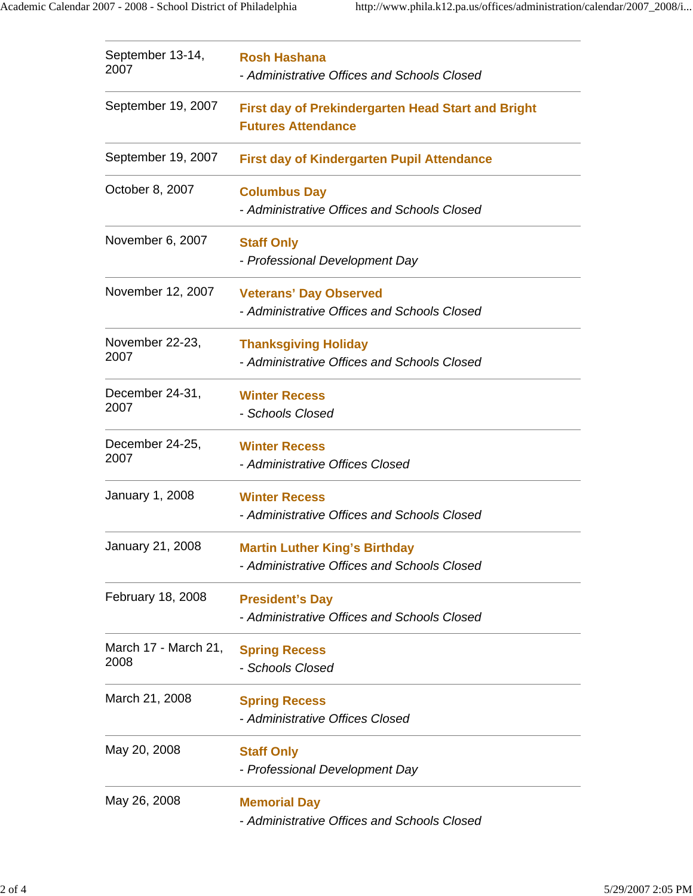| September 13-14,<br>2007     | <b>Rosh Hashana</b><br>- Administrative Offices and Schools Closed                     |  |  |
|------------------------------|----------------------------------------------------------------------------------------|--|--|
| September 19, 2007           | <b>First day of Prekindergarten Head Start and Bright</b><br><b>Futures Attendance</b> |  |  |
| September 19, 2007           | <b>First day of Kindergarten Pupil Attendance</b>                                      |  |  |
| October 8, 2007              | <b>Columbus Day</b><br>- Administrative Offices and Schools Closed                     |  |  |
| November 6, 2007             | <b>Staff Only</b><br>- Professional Development Day                                    |  |  |
| November 12, 2007            | <b>Veterans' Day Observed</b><br>- Administrative Offices and Schools Closed           |  |  |
| November 22-23,<br>2007      | <b>Thanksgiving Holiday</b><br>- Administrative Offices and Schools Closed             |  |  |
| December 24-31,<br>2007      | <b>Winter Recess</b><br>- Schools Closed                                               |  |  |
| December 24-25,<br>2007      | <b>Winter Recess</b><br>- Administrative Offices Closed                                |  |  |
| January 1, 2008              | <b>Winter Recess</b><br>- Administrative Offices and Schools Closed                    |  |  |
| January 21, 2008             | <b>Martin Luther King's Birthday</b><br>- Administrative Offices and Schools Closed    |  |  |
| February 18, 2008            | <b>President's Day</b><br>- Administrative Offices and Schools Closed                  |  |  |
| March 17 - March 21,<br>2008 | <b>Spring Recess</b><br>- Schools Closed                                               |  |  |
| March 21, 2008               | <b>Spring Recess</b><br>- Administrative Offices Closed                                |  |  |
| May 20, 2008                 | <b>Staff Only</b><br>- Professional Development Day                                    |  |  |
| May 26, 2008                 | <b>Memorial Day</b><br>- Administrative Offices and Schools Closed                     |  |  |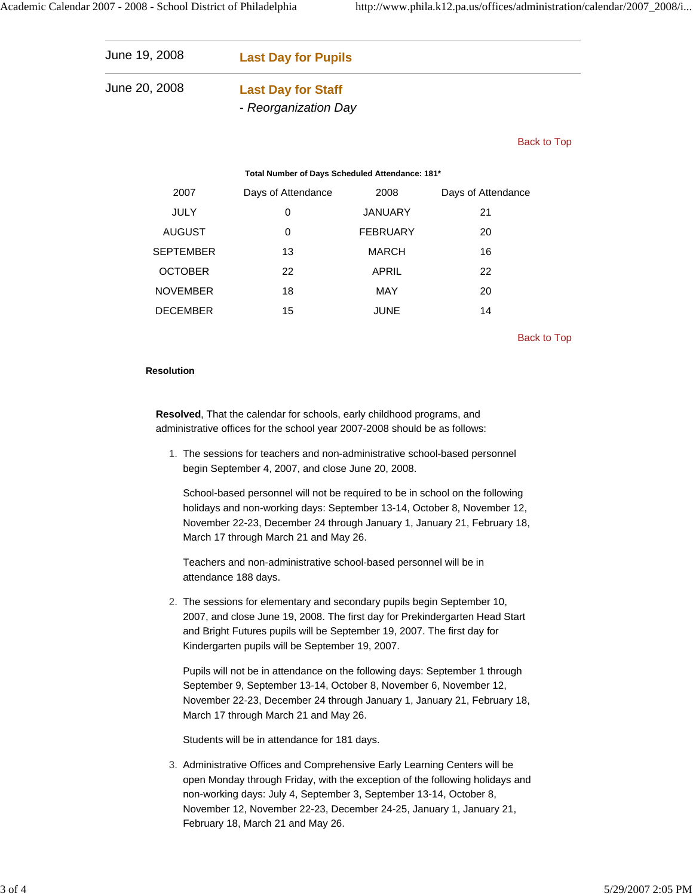| June 19, 2008 | <b>Last Day for Pupils</b> |  |
|---------------|----------------------------|--|
| June 20, 2008 | <b>Last Day for Staff</b>  |  |
|               | - Reorganization Day       |  |

Back to Top

## **Total Number of Days Scheduled Attendance: 181\***

| 2007            | Days of Attendance | 2008            | Days of Attendance |
|-----------------|--------------------|-----------------|--------------------|
| <b>JULY</b>     | 0                  | <b>JANUARY</b>  | 21                 |
| <b>AUGUST</b>   | 0                  | <b>FEBRUARY</b> | 20                 |
| SEPTEMBER       | 13                 | <b>MARCH</b>    | 16                 |
| <b>OCTOBER</b>  | 22                 | APRIL           | 22                 |
| <b>NOVEMBER</b> | 18                 | <b>MAY</b>      | 20                 |
| <b>DECEMBER</b> | 15                 | <b>JUNE</b>     | 14                 |

Back to Top

## **Resolution**

**Resolved**, That the calendar for schools, early childhood programs, and administrative offices for the school year 2007-2008 should be as follows:

1. The sessions for teachers and non-administrative school-based personnel begin September 4, 2007, and close June 20, 2008.

School-based personnel will not be required to be in school on the following holidays and non-working days: September 13-14, October 8, November 12, November 22-23, December 24 through January 1, January 21, February 18, March 17 through March 21 and May 26.

Teachers and non-administrative school-based personnel will be in attendance 188 days.

2. The sessions for elementary and secondary pupils begin September 10, 2007, and close June 19, 2008. The first day for Prekindergarten Head Start and Bright Futures pupils will be September 19, 2007. The first day for Kindergarten pupils will be September 19, 2007.

Pupils will not be in attendance on the following days: September 1 through September 9, September 13-14, October 8, November 6, November 12, November 22-23, December 24 through January 1, January 21, February 18, March 17 through March 21 and May 26.

Students will be in attendance for 181 days.

3. Administrative Offices and Comprehensive Early Learning Centers will be open Monday through Friday, with the exception of the following holidays and non-working days: July 4, September 3, September 13-14, October 8, November 12, November 22-23, December 24-25, January 1, January 21, February 18, March 21 and May 26.